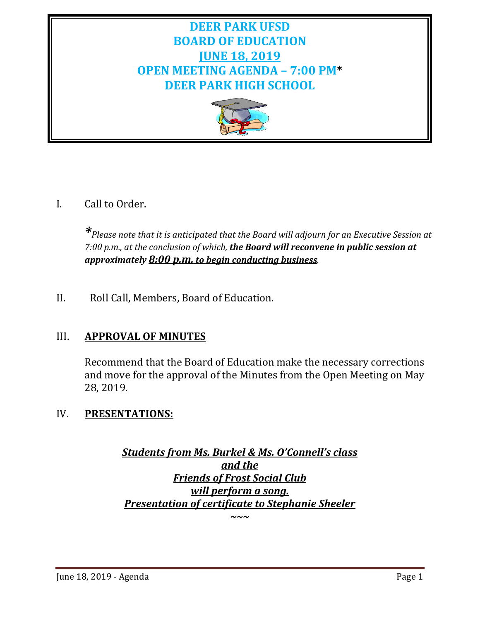## **DEER PARK UFSD BOARD OF EDUCATION JUNE 18, 2019 OPEN MEETING AGENDA – 7:00 PM\* DEER PARK HIGH SCHOOL**



## I. Call to Order.

*\*Please note that it is anticipated that the Board will adjourn for an Executive Session at 7:00 p.m., at the conclusion of which, the Board will reconvene in public session at approximately 8:00 p.m. to begin conducting business.*

II. Roll Call, Members, Board of Education.

## III. **APPROVAL OF MINUTES**

Recommend that the Board of Education make the necessary corrections and move for the approval of the Minutes from the Open Meeting on May 28, 2019.

## IV. **PRESENTATIONS:**

*Students from Ms. Burkel & Ms. O'Connell's class and the Friends of Frost Social Club will perform a song. Presentation of certificate to Stephanie Sheeler*

*~~~*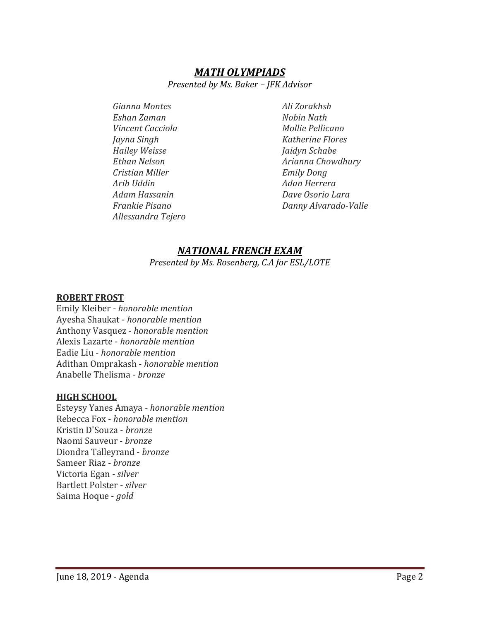### *MATH OLYMPIADS*

*Presented by Ms. Baker – JFK Advisor*

*Gianna Montes Ali Zorakhsh Eshan Zaman Nobin Nath Vincent Cacciola Mollie Pellicano Jayna Singh Katherine Flores Hailey Weisse Jaidyn Schabe Cristian Miller Emily Dong Arib Uddin Adan Herrera Adam Hassanin Dave Osorio Lara Allessandra Tejero*

*Ethan Nelson Arianna Chowdhury Frankie Pisano Danny Alvarado-Valle*

#### *NATIONAL FRENCH EXAM*

*Presented by Ms. Rosenberg, C.A for ESL/LOTE*

#### **ROBERT FROST**

Emily Kleiber - *honorable mention* Ayesha Shaukat - *honorable mention* Anthony Vasquez - *honorable mention* Alexis Lazarte - *honorable mention* Eadie Liu - *honorable mention* Adithan Omprakash - *honorable mention* Anabelle Thelisma - *bronze*

#### **HIGH SCHOOL**

Esteysy Yanes Amaya - *honorable mention* Rebecca Fox - *honorable mention* Kristin D'Souza - *bronze* Naomi Sauveur - *bronze* Diondra Talleyrand - *bronze* Sameer Riaz - *bronze* Victoria Egan - *silver* Bartlett Polster - *silver* Saima Hoque - *gold*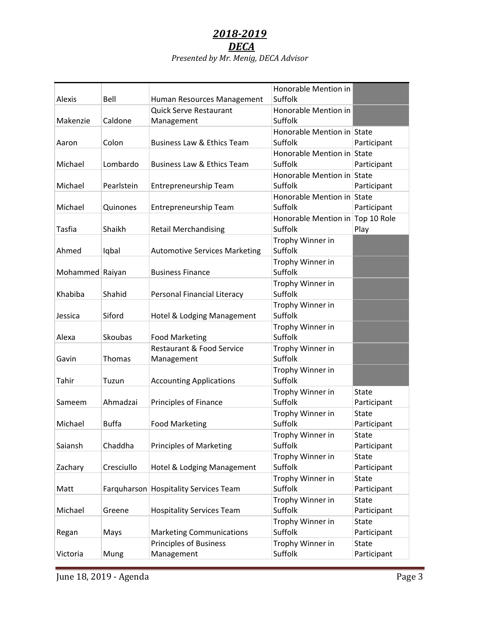# *2018-2019 DECA*

|                 |              |                                       | Honorable Mention in             |                             |
|-----------------|--------------|---------------------------------------|----------------------------------|-----------------------------|
| Alexis          | Bell         | Human Resources Management            | Suffolk                          |                             |
|                 |              | <b>Quick Serve Restaurant</b>         | Honorable Mention in             |                             |
| Makenzie        | Caldone      | Management                            | Suffolk                          |                             |
|                 |              |                                       | Honorable Mention in State       |                             |
| Aaron           | Colon        | <b>Business Law &amp; Ethics Team</b> | Suffolk                          | Participant                 |
|                 |              |                                       | Honorable Mention in State       |                             |
| Michael         | Lombardo     | <b>Business Law &amp; Ethics Team</b> | Suffolk                          | Participant                 |
|                 |              |                                       | Honorable Mention in State       |                             |
| Michael         | Pearlstein   | Entrepreneurship Team                 | Suffolk                          | Participant                 |
|                 |              |                                       | Honorable Mention in State       |                             |
| Michael         | Quinones     | Entrepreneurship Team                 | Suffolk                          | Participant                 |
|                 |              |                                       | Honorable Mention in Top 10 Role |                             |
| Tasfia          | Shaikh       | <b>Retail Merchandising</b>           | Suffolk                          | Play                        |
|                 |              |                                       | Trophy Winner in                 |                             |
| Ahmed           | Iqbal        | <b>Automotive Services Marketing</b>  | Suffolk                          |                             |
|                 |              |                                       | Trophy Winner in                 |                             |
| Mohammed Raiyan |              | <b>Business Finance</b>               | Suffolk                          |                             |
|                 |              |                                       | Trophy Winner in                 |                             |
| Khabiba         | Shahid       | Personal Financial Literacy           | Suffolk                          |                             |
|                 |              |                                       | Trophy Winner in                 |                             |
| Jessica         | Siford       | Hotel & Lodging Management            | Suffolk                          |                             |
|                 |              |                                       | Trophy Winner in                 |                             |
| Alexa           | Skoubas      | <b>Food Marketing</b>                 | Suffolk                          |                             |
|                 |              | Restaurant & Food Service             | Trophy Winner in                 |                             |
| Gavin           | Thomas       | Management                            | Suffolk                          |                             |
|                 |              |                                       | Trophy Winner in                 |                             |
| Tahir           | Tuzun        | <b>Accounting Applications</b>        | Suffolk                          |                             |
|                 |              |                                       | Trophy Winner in                 | <b>State</b>                |
| Sameem          | Ahmadzai     | Principles of Finance                 | Suffolk                          | Participant                 |
|                 |              |                                       | Trophy Winner in                 | <b>State</b>                |
| Michael         | <b>Buffa</b> | <b>Food Marketing</b>                 | Suffolk                          | Participant                 |
|                 | Chaddha      |                                       | Trophy Winner in<br>Suffolk      | State                       |
| Saiansh         |              | <b>Principles of Marketing</b>        |                                  | Participant                 |
|                 |              |                                       | Trophy Winner in                 | <b>State</b>                |
| Zachary         | Cresciullo   | Hotel & Lodging Management            | Suffolk                          | Participant                 |
|                 |              |                                       | Trophy Winner in<br>Suffolk      | <b>State</b>                |
| Matt            |              | Farquharson Hospitality Services Team |                                  | Participant                 |
| Michael         |              |                                       | Trophy Winner in<br>Suffolk      | <b>State</b><br>Participant |
|                 | Greene       | <b>Hospitality Services Team</b>      |                                  |                             |
|                 | Mays         | <b>Marketing Communications</b>       | Trophy Winner in<br>Suffolk      | <b>State</b><br>Participant |
| Regan           |              | <b>Principles of Business</b>         | Trophy Winner in                 | <b>State</b>                |
| Victoria        |              | Management                            | Suffolk                          | Participant                 |
|                 | Mung         |                                       |                                  |                             |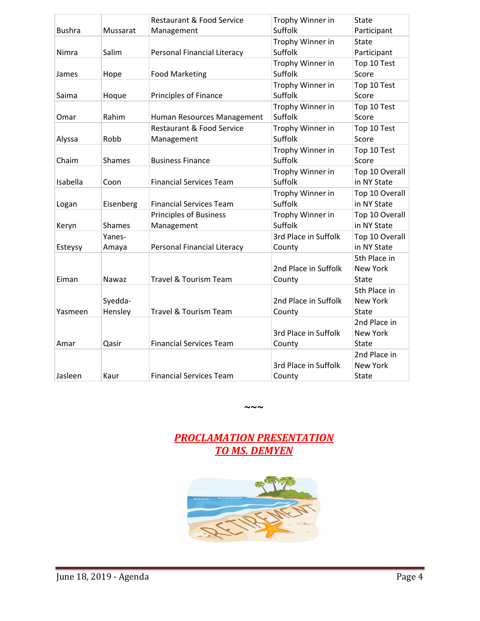|               |               | <b>Restaurant &amp; Food Service</b> | Trophy Winner in     | <b>State</b>    |
|---------------|---------------|--------------------------------------|----------------------|-----------------|
| <b>Bushra</b> | Mussarat      | Management                           | Suffolk              | Participant     |
|               |               |                                      | Trophy Winner in     | <b>State</b>    |
| Nimra         | Salim         | <b>Personal Financial Literacy</b>   | Suffolk              | Participant     |
|               |               |                                      | Trophy Winner in     | Top 10 Test     |
| James         | Hope          | <b>Food Marketing</b>                | Suffolk              | Score           |
|               |               |                                      | Trophy Winner in     | Top 10 Test     |
| Saima         | Hoque         | Principles of Finance                | Suffolk              | Score           |
|               |               |                                      | Trophy Winner in     | Top 10 Test     |
| Omar          | Rahim         | Human Resources Management           | Suffolk              | Score           |
|               |               | <b>Restaurant &amp; Food Service</b> | Trophy Winner in     | Top 10 Test     |
| Alyssa        | Robb          | Management                           | Suffolk              | Score           |
|               |               |                                      | Trophy Winner in     | Top 10 Test     |
| Chaim         | <b>Shames</b> | <b>Business Finance</b>              | Suffolk              | Score           |
|               |               |                                      | Trophy Winner in     | Top 10 Overall  |
| Isabella      | Coon          | <b>Financial Services Team</b>       | Suffolk              | in NY State     |
|               |               |                                      | Trophy Winner in     | Top 10 Overall  |
| Logan         | Eisenberg     | <b>Financial Services Team</b>       | Suffolk              | in NY State     |
|               |               | <b>Principles of Business</b>        | Trophy Winner in     | Top 10 Overall  |
| Keryn         | <b>Shames</b> | Management                           | Suffolk              | in NY State     |
|               | Yanes-        |                                      | 3rd Place in Suffolk | Top 10 Overall  |
| Esteysy       | Amaya         | Personal Financial Literacy          | County               | in NY State     |
|               |               |                                      |                      | 5th Place in    |
|               |               |                                      | 2nd Place in Suffolk | <b>New York</b> |
| Eiman         | Nawaz         | Travel & Tourism Team                | County               | State           |
|               |               |                                      |                      | 5th Place in    |
|               | Syedda-       |                                      | 2nd Place in Suffolk | <b>New York</b> |
| Yasmeen       | Hensley       | Travel & Tourism Team                | County               | <b>State</b>    |
|               |               |                                      |                      | 2nd Place in    |
|               |               |                                      | 3rd Place in Suffolk | <b>New York</b> |
| Amar          | Qasir         | <b>Financial Services Team</b>       | County               | State           |
|               |               |                                      |                      | 2nd Place in    |
|               |               |                                      | 3rd Place in Suffolk | New York        |
| Jasleen       | Kaur          | <b>Financial Services Team</b>       | County               | State           |

## *PROCLAMATION PRESENTATION TO MS. DEMYEN*

**~~~**

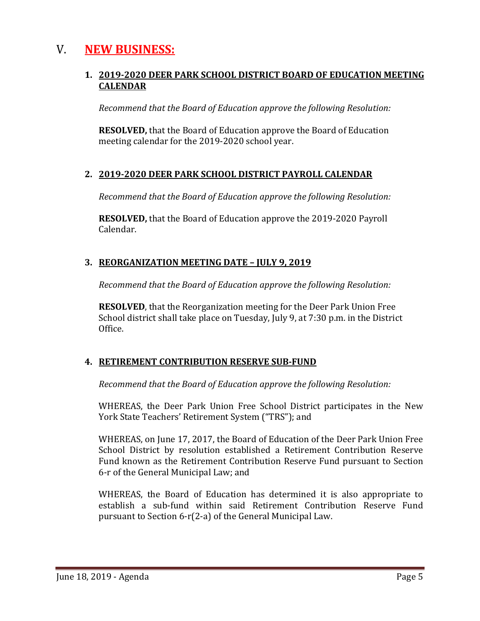## V. **NEW BUSINESS:**

#### **1. 2019-2020 DEER PARK SCHOOL DISTRICT BOARD OF EDUCATION MEETING CALENDAR**

*Recommend that the Board of Education approve the following Resolution:*

**RESOLVED,** that the Board of Education approve the Board of Education meeting calendar for the 2019-2020 school year.

#### **2. 2019-2020 DEER PARK SCHOOL DISTRICT PAYROLL CALENDAR**

*Recommend that the Board of Education approve the following Resolution:*

**RESOLVED,** that the Board of Education approve the 2019-2020 Payroll Calendar.

#### **3. REORGANIZATION MEETING DATE – JULY 9, 2019**

*Recommend that the Board of Education approve the following Resolution:*

**RESOLVED**, that the Reorganization meeting for the Deer Park Union Free School district shall take place on Tuesday, July 9, at 7:30 p.m. in the District Office.

#### **4. RETIREMENT CONTRIBUTION RESERVE SUB-FUND**

*Recommend that the Board of Education approve the following Resolution:*

WHEREAS, the Deer Park Union Free School District participates in the New York State Teachers' Retirement System ("TRS"); and

WHEREAS, on June 17, 2017, the Board of Education of the Deer Park Union Free School District by resolution established a Retirement Contribution Reserve Fund known as the Retirement Contribution Reserve Fund pursuant to Section 6-r of the General Municipal Law; and

WHEREAS, the Board of Education has determined it is also appropriate to establish a sub-fund within said Retirement Contribution Reserve Fund pursuant to Section 6-r(2-a) of the General Municipal Law.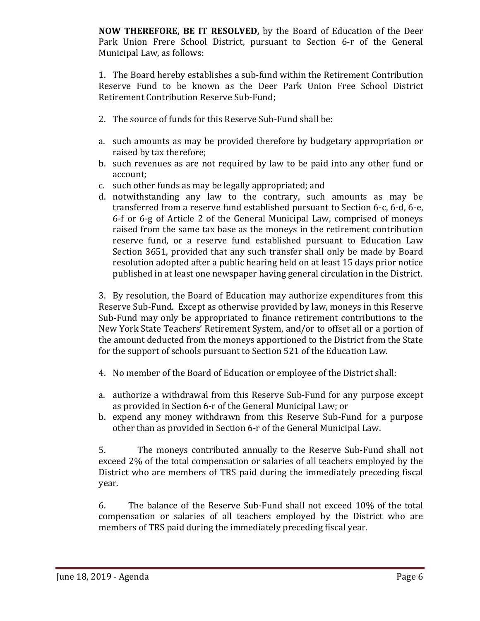**NOW THEREFORE, BE IT RESOLVED,** by the Board of Education of the Deer Park Union Frere School District, pursuant to Section 6-r of the General Municipal Law, as follows:

1. The Board hereby establishes a sub-fund within the Retirement Contribution Reserve Fund to be known as the Deer Park Union Free School District Retirement Contribution Reserve Sub-Fund;

- 2. The source of funds for this Reserve Sub-Fund shall be:
- a. such amounts as may be provided therefore by budgetary appropriation or raised by tax therefore;
- b. such revenues as are not required by law to be paid into any other fund or account;
- c. such other funds as may be legally appropriated; and
- d. notwithstanding any law to the contrary, such amounts as may be transferred from a reserve fund established pursuant to Section 6-c, 6-d, 6-e, 6-f or 6-g of Article 2 of the General Municipal Law, comprised of moneys raised from the same tax base as the moneys in the retirement contribution reserve fund, or a reserve fund established pursuant to Education Law Section 3651, provided that any such transfer shall only be made by Board resolution adopted after a public hearing held on at least 15 days prior notice published in at least one newspaper having general circulation in the District.

3. By resolution, the Board of Education may authorize expenditures from this Reserve Sub-Fund. Except as otherwise provided by law, moneys in this Reserve Sub-Fund may only be appropriated to finance retirement contributions to the New York State Teachers' Retirement System, and/or to offset all or a portion of the amount deducted from the moneys apportioned to the District from the State for the support of schools pursuant to Section 521 of the Education Law.

- 4. No member of the Board of Education or employee of the District shall:
- a. authorize a withdrawal from this Reserve Sub-Fund for any purpose except as provided in Section 6-r of the General Municipal Law; or
- b. expend any money withdrawn from this Reserve Sub-Fund for a purpose other than as provided in Section 6-r of the General Municipal Law.

5. The moneys contributed annually to the Reserve Sub-Fund shall not exceed 2% of the total compensation or salaries of all teachers employed by the District who are members of TRS paid during the immediately preceding fiscal year.

6. The balance of the Reserve Sub-Fund shall not exceed 10% of the total compensation or salaries of all teachers employed by the District who are members of TRS paid during the immediately preceding fiscal year.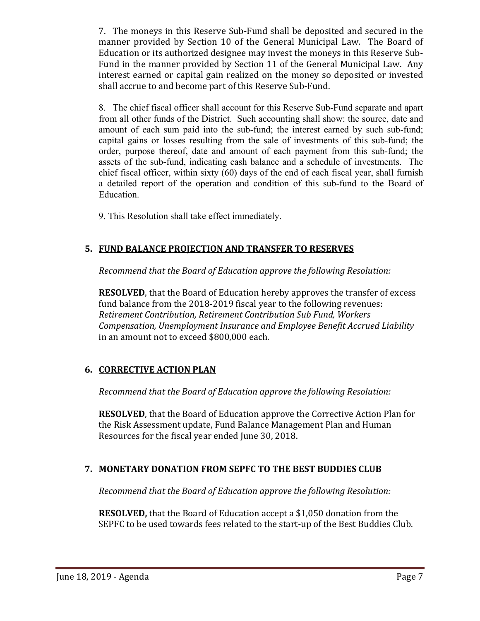7. The moneys in this Reserve Sub-Fund shall be deposited and secured in the manner provided by Section 10 of the General Municipal Law. The Board of Education or its authorized designee may invest the moneys in this Reserve Sub-Fund in the manner provided by Section 11 of the General Municipal Law. Any interest earned or capital gain realized on the money so deposited or invested shall accrue to and become part of this Reserve Sub-Fund.

8. The chief fiscal officer shall account for this Reserve Sub-Fund separate and apart from all other funds of the District. Such accounting shall show: the source, date and amount of each sum paid into the sub-fund; the interest earned by such sub-fund; capital gains or losses resulting from the sale of investments of this sub-fund; the order, purpose thereof, date and amount of each payment from this sub-fund; the assets of the sub-fund, indicating cash balance and a schedule of investments. The chief fiscal officer, within sixty (60) days of the end of each fiscal year, shall furnish a detailed report of the operation and condition of this sub-fund to the Board of Education.

9. This Resolution shall take effect immediately.

## **5. FUND BALANCE PROJECTION AND TRANSFER TO RESERVES**

*Recommend that the Board of Education approve the following Resolution:*

**RESOLVED**, that the Board of Education hereby approves the transfer of excess fund balance from the 2018-2019 fiscal year to the following revenues: *Retirement Contribution, Retirement Contribution Sub Fund, Workers Compensation, Unemployment Insurance and Employee Benefit Accrued Liability* in an amount not to exceed \$800,000 each.

#### **6. CORRECTIVE ACTION PLAN**

*Recommend that the Board of Education approve the following Resolution:*

**RESOLVED**, that the Board of Education approve the Corrective Action Plan for the Risk Assessment update, Fund Balance Management Plan and Human Resources for the fiscal year ended June 30, 2018.

## **7. MONETARY DONATION FROM SEPFC TO THE BEST BUDDIES CLUB**

*Recommend that the Board of Education approve the following Resolution:*

**RESOLVED,** that the Board of Education accept a \$1,050 donation from the SEPFC to be used towards fees related to the start-up of the Best Buddies Club.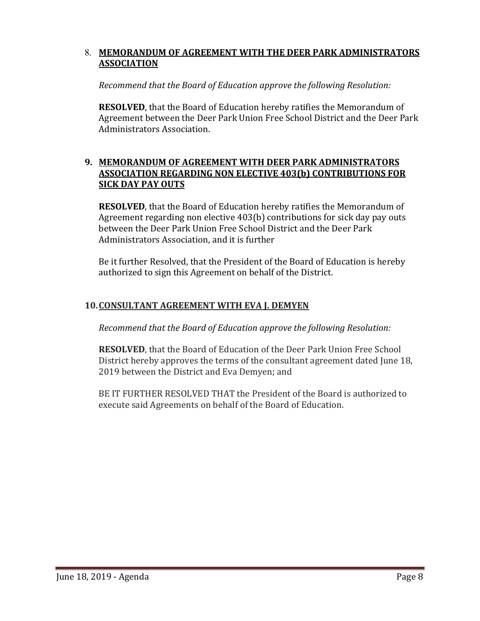#### 8. **MEMORANDUM OF AGREEMENT WITH THE DEER PARK ADMINISTRATORS ASSOCIATION**

#### *Recommend that the Board of Education approve the following Resolution:*

**RESOLVED**, that the Board of Education hereby ratifies the Memorandum of Agreement between the Deer Park Union Free School District and the Deer Park Administrators Association.

#### **9. MEMORANDUM OF AGREEMENT WITH DEER PARK ADMINISTRATORS ASSOCIATION REGARDING NON ELECTIVE 403(b) CONTRIBUTIONS FOR SICK DAY PAY OUTS**

**RESOLVED**, that the Board of Education hereby ratifies the Memorandum of Agreement regarding non elective 403(b) contributions for sick day pay outs between the Deer Park Union Free School District and the Deer Park Administrators Association, and it is further

Be it further Resolved, that the President of the Board of Education is hereby authorized to sign this Agreement on behalf of the District.

#### **10.CONSULTANT AGREEMENT WITH EVA J. DEMYEN**

*Recommend that the Board of Education approve the following Resolution:*

**RESOLVED**, that the Board of Education of the Deer Park Union Free School District hereby approves the terms of the consultant agreement dated June 18, 2019 between the District and Eva Demyen; and

BE IT FURTHER RESOLVED THAT the President of the Board is authorized to execute said Agreements on behalf of the Board of Education.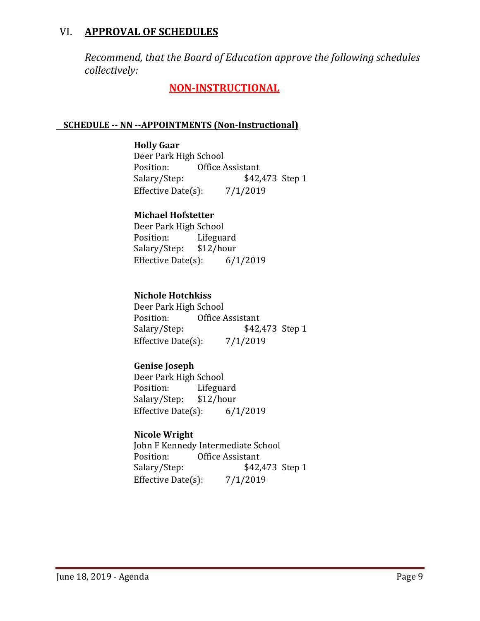## VI. **APPROVAL OF SCHEDULES**

*Recommend, that the Board of Education approve the following schedules collectively:*

## **NON-INSTRUCTIONAL**

#### **SCHEDULE -- NN --APPOINTMENTS (Non-Instructional)**

**Holly Gaar** Deer Park High School<br>Position: Office Position: Office Assistant<br>Salary/Step: \$42, \$42,473 Step 1 Effective Date $(s)$ : 7/1/2019

### **Michael Hofstetter**

Deer Park High School<br>Position: Lifegua Lifeguard<br>\$12/hour Salary/Step: Effective Date(s): 6/1/2019

#### **Nichole Hotchkiss**

Deer Park High School<br>Position: Office Position: Office Assistant<br>Salary/Step: \$42, \$42,473 Step 1 Effective Date $(s)$ : 7/1/2019

#### **Genise Joseph**

Deer Park High School<br>Position: Lifegua Lifeguard<br>\$12/hour Salary/Step: \$12/hour<br>Effective Date(s): 6/1/2019 Effective Date $(s)$ :

#### **Nicole Wright**

John F Kennedy Intermediate School<br>Position: Office Assistant Position: Office Assistant<br>Salary/Step: \$42, \$42,473 Step 1<br>7/1/2019 Effective Date $(s)$ :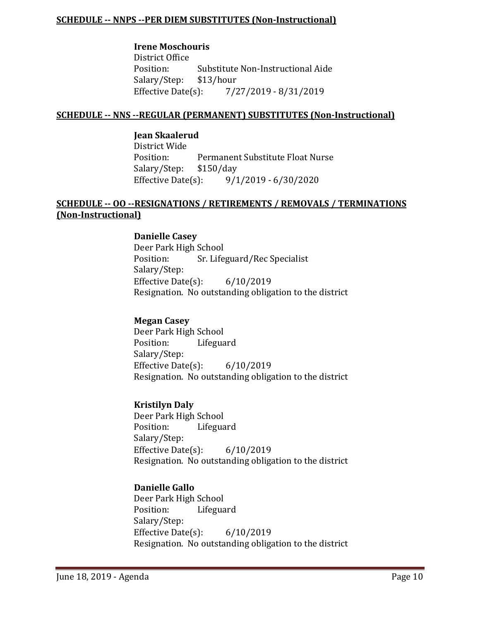#### **SCHEDULE -- NNPS --PER DIEM SUBSTITUTES (Non-Instructional)**

#### **Irene Moschouris**

District Office<br>Position: Substitute Non-Instructional Aide<br>\$13/hour Salary/Step: \$13/<br>Effective Date(s): Effective Date(s): 7/27/2019 - 8/31/2019

#### **SCHEDULE -- NNS --REGULAR (PERMANENT) SUBSTITUTES (Non-Instructional)**

#### **Jean Skaalerud**

District Wide Permanent Substitute Float Nurse<br>\$150/day Salary/Step: \$150<br>Effective Date(s):  $9/1/2019 - 6/30/2020$ 

#### **SCHEDULE -- OO --RESIGNATIONS / RETIREMENTS / REMOVALS / TERMINATIONS (Non-Instructional)**

#### **Danielle Casey**

Deer Park High School<br>Position: Sr. Life Sr. Lifeguard/Rec Specialist Salary/Step: Effective Date(s): 6/10/2019 Resignation. No outstanding obligation to the district

#### **Megan Casey**

Deer Park High School<br>Position: Lifegua Lifeguard Salary/Step: Effective Date(s): 6/10/2019 Resignation. No outstanding obligation to the district

#### **Kristilyn Daly**

Deer Park High School<br>Position: Lifegua Lifeguard Salary/Step: Effective Date(s): 6/10/2019 Resignation. No outstanding obligation to the district

#### **Danielle Gallo**

Deer Park High School<br>Position: Lifegua Lifeguard Salary/Step: Effective Date(s): 6/10/2019 Resignation. No outstanding obligation to the district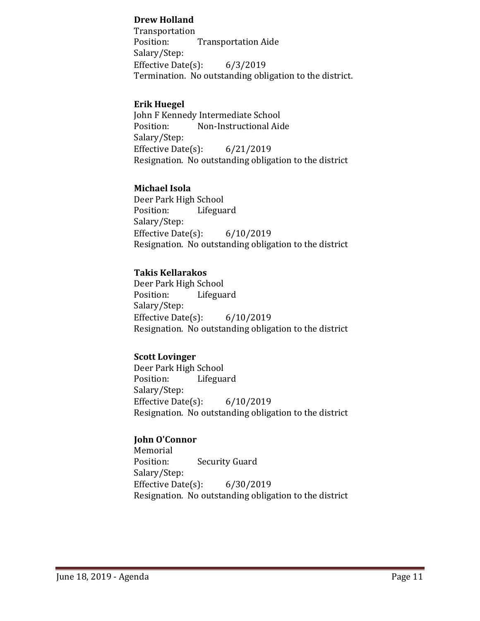#### **Drew Holland**

Transportation<br>Position: **Transportation Aide** Salary/Step: Effective Date $(s)$ : 6/3/2019 Termination. No outstanding obligation to the district.

#### **Erik Huegel**

John F Kennedy Intermediate School<br>Position: Mon-Instructional Aid Non-Instructional Aide Salary/Step: Effective Date(s): 6/21/2019 Resignation. No outstanding obligation to the district

#### **Michael Isola**

Deer Park High School<br>Position: Lifegua Lifeguard Salary/Step: Effective Date(s): 6/10/2019 Resignation. No outstanding obligation to the district

#### **Takis Kellarakos**

Deer Park High School Lifeguard Salary/Step: Effective Date(s): 6/10/2019 Resignation. No outstanding obligation to the district

#### **Scott Lovinger**

Deer Park High School<br>Position: Lifegua Lifeguard Salary/Step: Effective Date(s): 6/10/2019 Resignation. No outstanding obligation to the district

#### **John O'Connor**

Memorial<br>Position: **Security Guard** Salary/Step: Effective Date(s): 6/30/2019 Resignation. No outstanding obligation to the district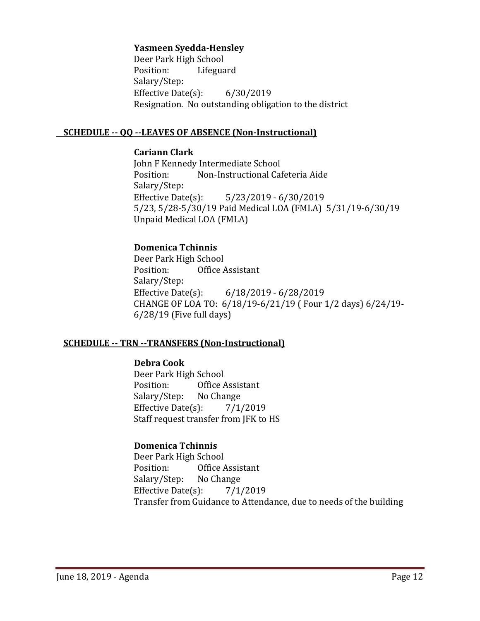#### **Yasmeen Syedda-Hensley**

Deer Park High School<br>Position: Lifegua Lifeguard Salary/Step: Effective Date(s): 6/30/2019 Resignation. No outstanding obligation to the district

#### **SCHEDULE -- QQ --LEAVES OF ABSENCE (Non-Instructional)**

#### **Cariann Clark**

John F Kennedy Intermediate School<br>Position: Non-Instructional Ca Non-Instructional Cafeteria Aide Salary/Step: Effective Date(s): 5/23/2019 - 6/30/2019 5/23, 5/28-5/30/19 Paid Medical LOA (FMLA) 5/31/19-6/30/19 Unpaid Medical LOA (FMLA)

#### **Domenica Tchinnis**

Deer Park High School<br>Position: Office Office Assistant Salary/Step: Effective Date(s): 6/18/2019 - 6/28/2019 CHANGE OF LOA TO: 6/18/19-6/21/19 ( Four 1/2 days) 6/24/19- 6/28/19 (Five full days)

#### **SCHEDULE -- TRN --TRANSFERS (Non-Instructional)**

#### **Debra Cook**

Deer Park High School<br>Position: Office Office Assistant<br>No Change Salary/Step: Effective Date $(s)$ : 7/1/2019 Staff request transfer from JFK to HS

#### **Domenica Tchinnis**

Deer Park High School<br>Position: Office A Office Assistant<br>No Change Salary/Step: Effective Date(s):  $7/1/2019$ Transfer from Guidance to Attendance, due to needs of the building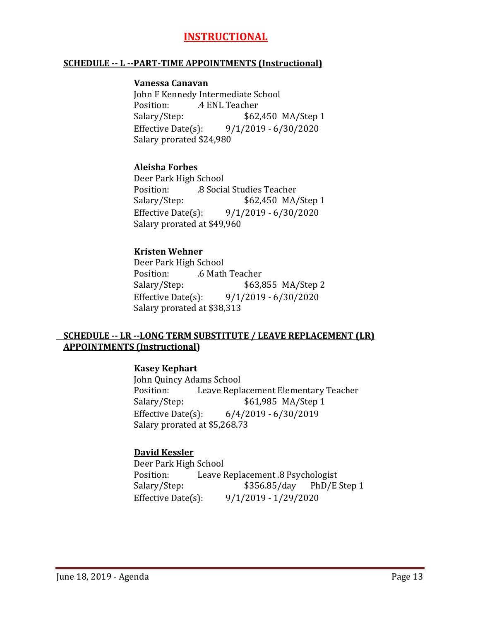## **INSTRUCTIONAL**

#### **SCHEDULE -- L --PART-TIME APPOINTMENTS (Instructional)**

#### **Vanessa Canavan**

John F Kennedy Intermediate School<br>Position: 4 ENL Teacher Position: .4 ENL Teacher<br>Salary/Step: \$62 \$62,450 MA/Step 1 Effective Date(s): 9/1/2019 - 6/30/2020 Salary prorated \$24,980

#### **Aleisha Forbes**

Deer Park High School Position: .8 Social Studies Teacher \$62,450 MA/Step 1 Effective Date(s): 9/1/2019 - 6/30/2020 Salary prorated at \$49,960

#### **Kristen Wehner**

Deer Park High School Position: .6 Math Teacher \$63,855 MA/Step 2 Effective Date(s): 9/1/2019 - 6/30/2020 Salary prorated at \$38,313

#### **SCHEDULE -- LR --LONG TERM SUBSTITUTE / LEAVE REPLACEMENT (LR) APPOINTMENTS (Instructional)**

#### **Kasey Kephart**

John Quincy Adams School<br>Position: Leave Repla Position: Leave Replacement Elementary Teacher<br>Salary/Step: \$61,985 MA/Step 1 Salary/Step: \$61,985 MA/Step 1<br>Effective Date(s): 6/4/2019 - 6/30/2019  $6/4/2019 - 6/30/2019$ Salary prorated at \$5,268.73

#### **David Kessler**

Deer Park High School<br>Position: Leave I Position: Leave Replacement .8 Psychologist<br>Salary/Step: \$356.85/day PhD/E PhD/E Step 1 Effective Date(s): 9/1/2019 - 1/29/2020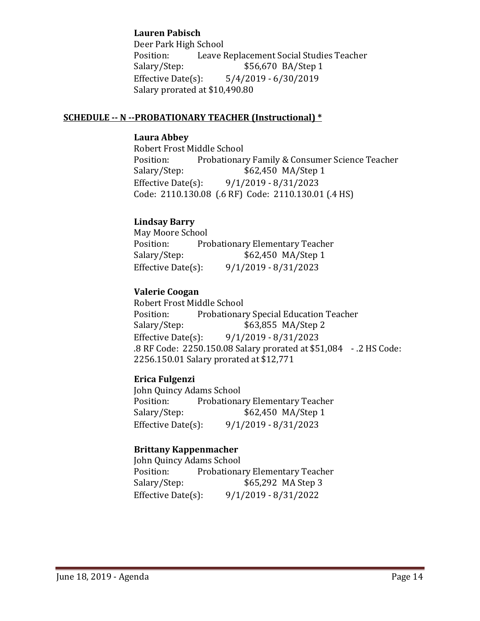#### **Lauren Pabisch**

Deer Park High School Position: Leave Replacement Social Studies Teacher<br>Salary/Step: \$56,670 BA/Step 1 Salary/Step: \$56,670 BA/Step 1<br>Effective Date(s): 5/4/2019 - 6/30/2019  $5/4/2019 - 6/30/2019$ Salary prorated at \$10,490.80

#### **SCHEDULE -- N --PROBATIONARY TEACHER (Instructional) \***

#### **Laura Abbey**

Robert Frost Middle School<br>Position: Probationar Position: Probationary Family & Consumer Science Teacher<br>Salary/Step: \$62,450 MA/Step 1 \$62,450 MA/Step 1 Effective Date(s): 9/1/2019 - 8/31/2023 Code: 2110.130.08 (.6 RF) Code: 2110.130.01 (.4 HS)

#### **Lindsay Barry**

May Moore School<br>Position: Pro Position: Probationary Elementary Teacher<br>Salary/Step: \$62,450 MA/Step 1 \$62,450 MA/Step 1 Effective Date(s): 9/1/2019 - 8/31/2023

#### **Valerie Coogan**

Robert Frost Middle School Position: Probationary Special Education Teacher<br>Salary/Step: \$63,855 MA/Step 2 Salary/Step: \$63,855 MA/Step 2<br>Effective Date(s): 9/1/2019 - 8/31/2023 Effective Date(s): 9/1/2019 - 8/31/2023 .8 RF Code: 2250.150.08 Salary prorated at \$51,084 - .2 HS Code: 2256.150.01 Salary prorated at \$12,771

#### **Erica Fulgenzi**

John Quincy Adams School<br>Position: Probationa Position: Probationary Elementary Teacher<br>Salary/Step: \$62,450 MA/Step 1 \$62,450 MA/Step 1 Effective Date(s): 9/1/2019 - 8/31/2023

#### **Brittany Kappenmacher**

John Quincy Adams School Position: Probationary Elementary Teacher<br>Salary/Step: \$65,292 MA Step 3 \$65,292 MA Step 3 Effective Date(s): 9/1/2019 - 8/31/2022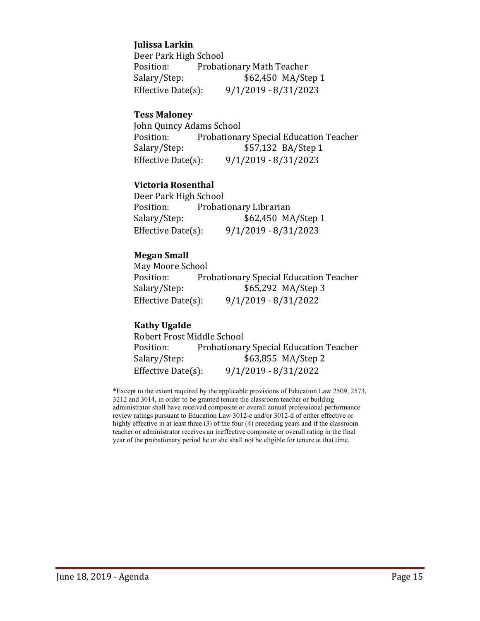#### **Julissa Larkin**

Deer Park High School<br>Position: Probat Position: Probationary Math Teacher<br>Salary/Step: \$62,450 MA/Ste \$62,450 MA/Step 1 Effective Date(s): 9/1/2019 - 8/31/2023

#### **Tess Maloney**

John Quincy Adams School<br>Position: Probationa Position: Probationary Special Education Teacher<br>Salary/Step: \$57,132 BA/Step 1 \$57,132 BA/Step 1 Effective Date(s): 9/1/2019 - 8/31/2023

#### **Victoria Rosenthal**

Deer Park High School Position: Probationary Librarian<br>Salary/Step: \$62,450 M/ \$62,450 MA/Step 1 Effective Date(s): 9/1/2019 - 8/31/2023

#### **Megan Small**

May Moore School Position: Probationary Special Education Teacher<br>Salary/Step: \$65,292 MA/Step 3 \$65,292 MA/Step 3 Effective Date(s): 9/1/2019 - 8/31/2022

#### **Kathy Ugalde**

Robert Frost Middle School<br>Position: Probationar Position: Probationary Special Education Teacher<br>Salary/Step: \$63,855 MA/Step 2 \$63,855 MA/Step 2 Effective Date(s): 9/1/2019 - 8/31/2022

\*Except to the extent required by the applicable provisions of Education Law 2509, 2573, 3212 and 3014, in order to be granted tenure the classroom teacher or building administrator shall have received composite or overall annual professional performance review ratings pursuant to Education Law 3012-c and/or 3012-d of either effective or highly effective in at least three (3) of the four (4) preceding years and if the classroom teacher or administrator receives an ineffective composite or overall rating in the final year of the probationary period he or she shall not be eligible for tenure at that time.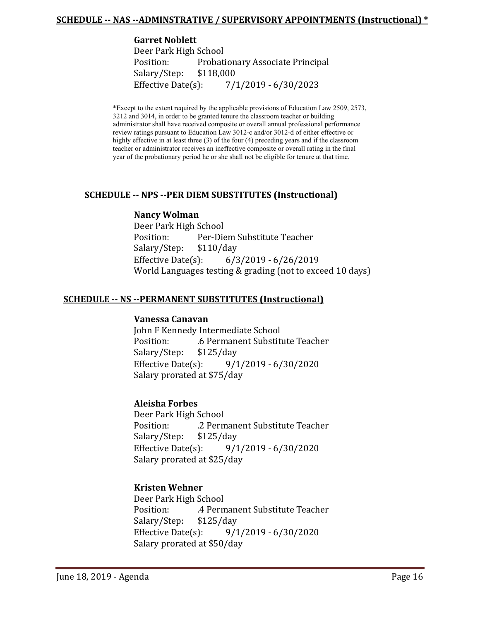#### **SCHEDULE -- NAS --ADMINSTRATIVE / SUPERVISORY APPOINTMENTS (Instructional) \***

#### **Garret Noblett**

Deer Park High School Probationary Associate Principal<br>\$118,000 Salary/Step: Effective Date(s): 7/1/2019 - 6/30/2023

\*Except to the extent required by the applicable provisions of Education Law 2509, 2573, 3212 and 3014, in order to be granted tenure the classroom teacher or building administrator shall have received composite or overall annual professional performance review ratings pursuant to Education Law 3012-c and/or 3012-d of either effective or highly effective in at least three (3) of the four (4) preceding years and if the classroom teacher or administrator receives an ineffective composite or overall rating in the final year of the probationary period he or she shall not be eligible for tenure at that time.

#### **SCHEDULE -- NPS --PER DIEM SUBSTITUTES (Instructional)**

#### **Nancy Wolman**

Deer Park High School Per-Diem Substitute Teacher<br>\$110/day Salary/Step: \$1<br>Effective Date(s):  $6/3/2019 - 6/26/2019$ World Languages testing & grading (not to exceed 10 days)

#### **SCHEDULE -- NS --PERMANENT SUBSTITUTES (Instructional)**

#### **Vanessa Canavan**

John F Kennedy Intermediate School .6 Permanent Substitute Teacher<br>\$125/day Salary/Step: Effective Date(s): 9/1/2019 - 6/30/2020 Salary prorated at \$75/day

#### **Aleisha Forbes**

Deer Park High School .2 Permanent Substitute Teacher Salary/Step: \$125/day<br>Effective Date(s): 9/1 Effective Date(s): 9/1/2019 - 6/30/2020 Salary prorated at \$25/day

#### **Kristen Wehner**

Deer Park High School .4 Permanent Substitute Teacher<br>\$125/day Salary/Step: Effective Date(s): 9/1/2019 - 6/30/2020 Salary prorated at \$50/day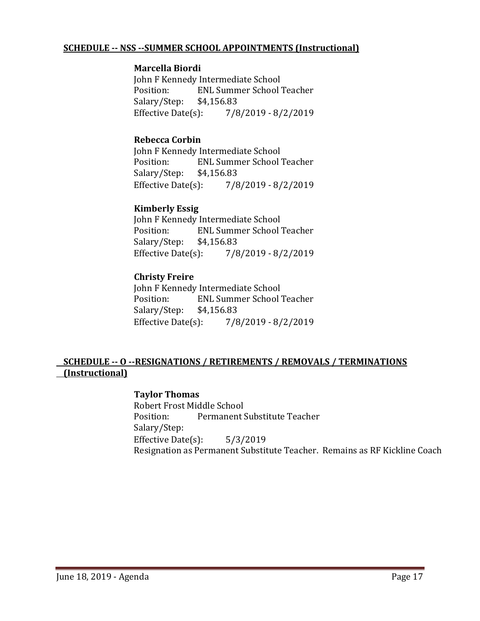#### **SCHEDULE -- NSS --SUMMER SCHOOL APPOINTMENTS (Instructional)**

#### **Marcella Biordi**

John F Kennedy Intermediate School **ENL Summer School Teacher** Salary/Step: \$4,156.83<br>Effective Date(s): 7/8  $7/8/2019 - 8/2/2019$ 

#### **Rebecca Corbin**

John F Kennedy Intermediate School<br>Position: ENL Summer School ENL Summer School Teacher<br>\$4,156.83 Salary/Step: Effective Date(s): 7/8/2019 - 8/2/2019

#### **Kimberly Essig**

John F Kennedy Intermediate School<br>Position: ENL Summer School ENL Summer School Teacher<br>\$4,156.83 Salary/Step: \$4,<br>Effective Date(s):  $7/8/2019 - 8/2/2019$ 

#### **Christy Freire**

John F Kennedy Intermediate School<br>Position: FNL Summer School ENL Summer School Teacher<br>\$4,156.83 Salary/Step: \$4,15<br>Effective Date(s): Effective Date(s): 7/8/2019 - 8/2/2019

#### **SCHEDULE -- O --RESIGNATIONS / RETIREMENTS / REMOVALS / TERMINATIONS (Instructional)**

#### **Taylor Thomas**

Robert Frost Middle School<br>Position: Permanent! Permanent Substitute Teacher Salary/Step: Effective Date(s): 5/3/2019 Resignation as Permanent Substitute Teacher. Remains as RF Kickline Coach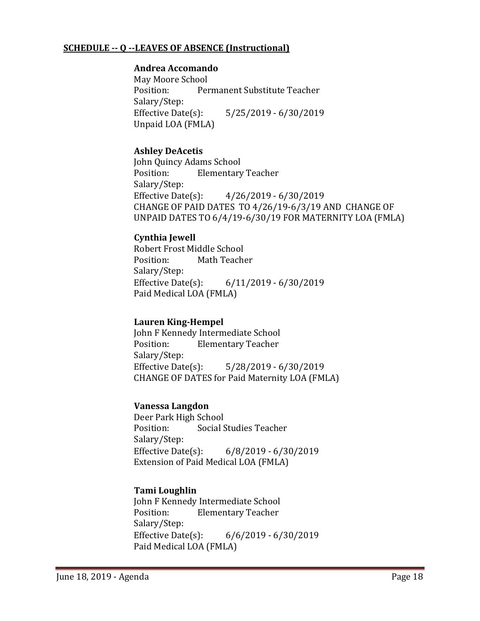#### **SCHEDULE -- Q --LEAVES OF ABSENCE (Instructional)**

#### **Andrea Accomando**

May Moore School<br>Position: Per Permanent Substitute Teacher Salary/Step:<br>Effective Date(s): Effective Date(s): 5/25/2019 - 6/30/2019 Unpaid LOA (FMLA)

#### **Ashley DeAcetis**

John Quincy Adams School<br>Position: Flementary **Elementary Teacher** Salary/Step:<br>Effective Date(s):  $4/26/2019 - 6/30/2019$ CHANGE OF PAID DATES TO 4/26/19-6/3/19 AND CHANGE OF UNPAID DATES TO 6/4/19-6/30/19 FOR MATERNITY LOA (FMLA)

#### **Cynthia Jewell**

Robert Frost Middle School<br>Position: Math Teach Math Teacher Salary/Step: Effective Date(s): 6/11/2019 - 6/30/2019 Paid Medical LOA (FMLA)

#### **Lauren King-Hempel**

John F Kennedy Intermediate School<br>Position: Flementary Teacher **Elementary Teacher** Salary/Step:<br>Effective Date(s):  $5/28/2019 - 6/30/2019$ CHANGE OF DATES for Paid Maternity LOA (FMLA)

#### **Vanessa Langdon**

Deer Park High School<br>Position: Social S Social Studies Teacher Salary/Step:<br>Effective Date(s):  $6/8/2019 - 6/30/2019$ Extension of Paid Medical LOA (FMLA)

#### **Tami Loughlin**

John F Kennedy Intermediate School<br>Position: Flementary Teacher **Elementary Teacher** Salary/Step:<br>Effective Date(s):  $6/6/2019 - 6/30/2019$ Paid Medical LOA (FMLA)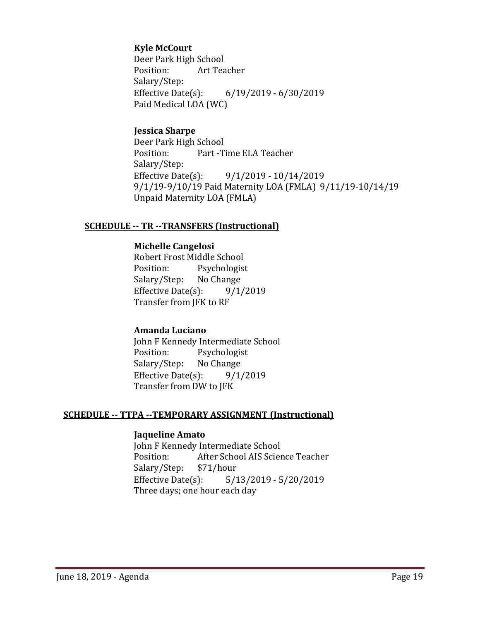#### **Kyle McCourt**

Deer Park High School<br>Position: Art Tea Art Teacher Salary/Step:<br>Effective Date(s): Effective Date(s): 6/19/2019 - 6/30/2019 Paid Medical LOA (WC)

#### **Jessica Sharpe**

Deer Park High School<br>Position: Part -T Part -Time ELA Teacher Salary/Step:<br>Effective Date(s):  $9/1/2019 - 10/14/2019$ 9/1/19-9/10/19 Paid Maternity LOA (FMLA) 9/11/19-10/14/19 Unpaid Maternity LOA (FMLA)

#### **SCHEDULE -- TR --TRANSFERS (Instructional)**

#### **Michelle Cangelosi**

Robert Frost Middle School<br>Position: Psychologis Psychologist<br>No Change Salary/Step: No Change<br>Effective Date(s): 9/1/2019 Effective Date $(s)$ : Transfer from JFK to RF

#### **Amanda Luciano**

John F Kennedy Intermediate School<br>Position: Psychologist Psychologist<br>No Change Salary/Step: Effective Date $(s)$ : 9/1/2019 Transfer from DW to JFK

#### **SCHEDULE -- TTPA --TEMPORARY ASSIGNMENT (Instructional)**

#### **Jaqueline Amato**

John F Kennedy Intermediate School<br>Position: After School AIS Scier After School AIS Science Teacher<br>\$71/hour Salary/Step: \$7<br>Effective Date(s):  $5/13/2019 - 5/20/2019$ Three days; one hour each day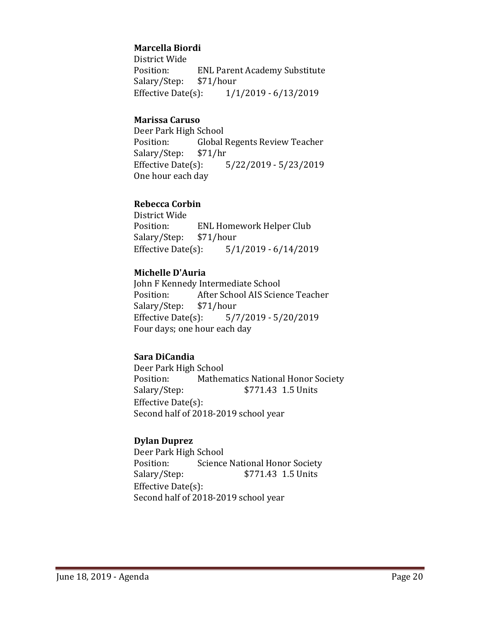#### **Marcella Biordi**

District Wide ENL Parent Academy Substitute<br>\$71/hour Salary/Step: Effective Date(s): 1/1/2019 - 6/13/2019

#### **Marissa Caruso**

Deer Park High School<br>Position: Global Global Regents Review Teacher<br>\$71/hr Salary/Step: \$7<br>Effective Date(s): Effective Date(s): 5/22/2019 - 5/23/2019 One hour each day

#### **Rebecca Corbin**

District Wide ENL Homework Helper Club<br>\$71/hour Salary/Step: Effective Date(s): 5/1/2019 - 6/14/2019

#### **Michelle D'Auria**

John F Kennedy Intermediate School After School AIS Science Teacher<br>\$71/hour Salary/Step: \$7<br>Effective Date(s):  $5/7/2019 - 5/20/2019$ Four days; one hour each day

#### **Sara DiCandia**

Deer Park High School Position: Mathematics National Honor Society<br>Salary/Step: \$771.43 1.5 Units \$771.43 1.5 Units Effective Date(s): Second half of 2018-2019 school year

#### **Dylan Duprez**

Deer Park High School Position: Science National Honor Society<br>Salary/Step: \$771.43 1.5 Units \$771.43 1.5 Units Effective Date(s): Second half of 2018-2019 school year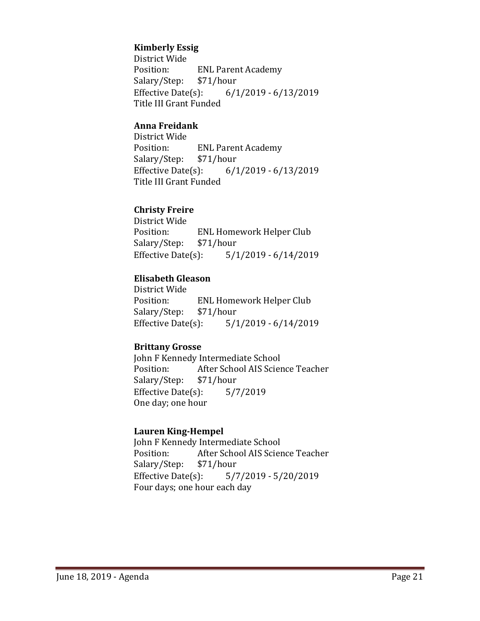#### **Kimberly Essig**

District Wide ENL Parent Academy<br>\$71/hour Salary/Step: \$7<br>Effective Date(s):  $6/1/2019 - 6/13/2019$ Title III Grant Funded

#### **Anna Freidank**

District Wide ENL Parent Academy<br>\$71/hour Salary/Step: \$7<br>Effective Date(s):  $6/1/2019 - 6/13/2019$ Title III Grant Funded

#### **Christy Freire**

District Wide ENL Homework Helper Club<br>\$71/hour Salary/Step: \$7<br>Effective Date(s):  $5/1/2019 - 6/14/2019$ 

#### **Elisabeth Gleason**

District Wide ENL Homework Helper Club<br>\$71/hour Salary/Step: \$7<br>Effective Date(s):  $5/1/2019 - 6/14/2019$ 

#### **Brittany Grosse**

John F Kennedy Intermediate School<br>Position: After School AIS Scier After School AIS Science Teacher<br>\$71/hour Salary/Step: Effective Date(s): 5/7/2019 One day; one hour

#### **Lauren King-Hempel**

John F Kennedy Intermediate School<br>Position: After School AIS Scier After School AIS Science Teacher<br>\$71/hour Salary/Step: Effective Date(s): 5/7/2019 - 5/20/2019 Four days; one hour each day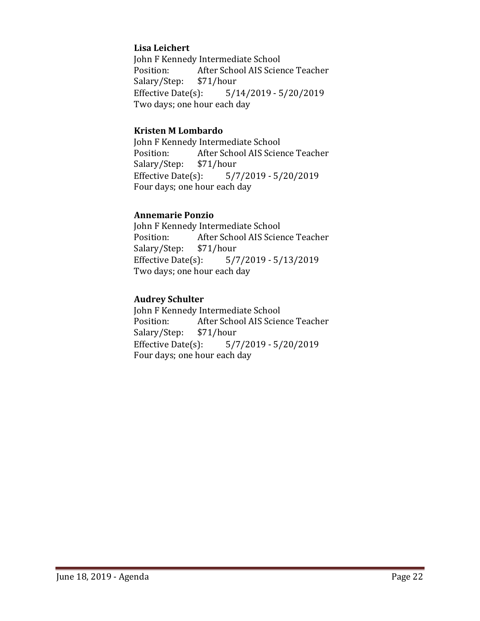#### **Lisa Leichert**

John F Kennedy Intermediate School<br>Position: After School AIS Scier After School AIS Science Teacher<br>\$71/hour Salary/Step: \$7<br>Effective Date(s): Effective Date(s): 5/14/2019 - 5/20/2019 Two days; one hour each day

#### **Kristen M Lombardo**

John F Kennedy Intermediate School<br>Position: After School AIS Scier After School AIS Science Teacher<br>\$71/hour Salary/Step: \$7<br>Effective Date(s):  $5/7/2019 - 5/20/2019$ Four days; one hour each day

#### **Annemarie Ponzio**

John F Kennedy Intermediate School<br>Position: After School AIS Scier After School AIS Science Teacher<br>\$71/hour Salary/Step: \$7<br>Effective Date(s):  $5/7/2019 - 5/13/2019$ Two days; one hour each day

#### **Audrey Schulter**

John F Kennedy Intermediate School<br>Position: After School AIS Scien After School AIS Science Teacher<br>\$71/hour Salary/Step: Effective Date(s): 5/7/2019 - 5/20/2019 Four days; one hour each day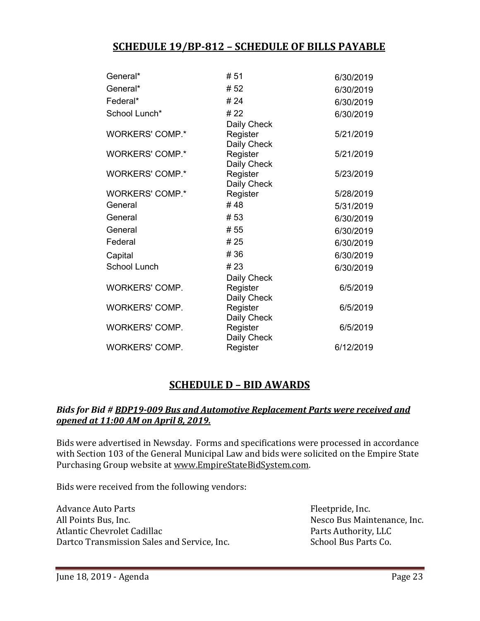## **SCHEDULE 19/BP-812 – SCHEDULE OF BILLS PAYABLE**

| General*               | #51         | 6/30/2019 |
|------------------------|-------------|-----------|
| General*               | #52         | 6/30/2019 |
| Federal*               | # 24        | 6/30/2019 |
| School Lunch*          | # 22        | 6/30/2019 |
|                        | Daily Check |           |
| <b>WORKERS' COMP.*</b> | Register    | 5/21/2019 |
|                        | Daily Check |           |
| <b>WORKERS' COMP.*</b> | Register    | 5/21/2019 |
|                        | Daily Check |           |
| <b>WORKERS' COMP.*</b> | Register    | 5/23/2019 |
|                        | Daily Check |           |
| <b>WORKERS' COMP.*</b> | Register    | 5/28/2019 |
| General                | #48         | 5/31/2019 |
| General                | #53         | 6/30/2019 |
| General                | # 55        | 6/30/2019 |
| Federal                | #25         | 6/30/2019 |
| Capital                | #36         | 6/30/2019 |
| <b>School Lunch</b>    | #23         | 6/30/2019 |
|                        | Daily Check |           |
| <b>WORKERS' COMP.</b>  | Register    | 6/5/2019  |
|                        | Daily Check |           |
| WORKERS' COMP.         | Register    | 6/5/2019  |
|                        | Daily Check |           |
| <b>WORKERS' COMP.</b>  | Register    | 6/5/2019  |
|                        | Daily Check |           |
| WORKERS' COMP.         | Register    | 6/12/2019 |
|                        |             |           |

## **SCHEDULE D – BID AWARDS**

#### *Bids for Bid # BDP19-009 Bus and Automotive Replacement Parts were received and opened at 11:00 AM on April 8, 2019.*

Bids were advertised in Newsday. Forms and specifications were processed in accordance with Section 103 of the General Municipal Law and bids were solicited on the Empire State Purchasing Group website at [www.EmpireStateBidSystem.com.](http://www.empirestatebidsystem.com/)

Bids were received from the following vendors:

Advance Auto Parts<br>
All Points Bus, Inc.<br>
All Points Bus, Inc. Atlantic Chevrolet Cadillac<br>Dartco Transmission Sales and Service. Inc. School Bus Parts Co. Dartco Transmission Sales and Service, Inc.

Nesco Bus Maintenance, Inc.<br>Parts Authority, LLC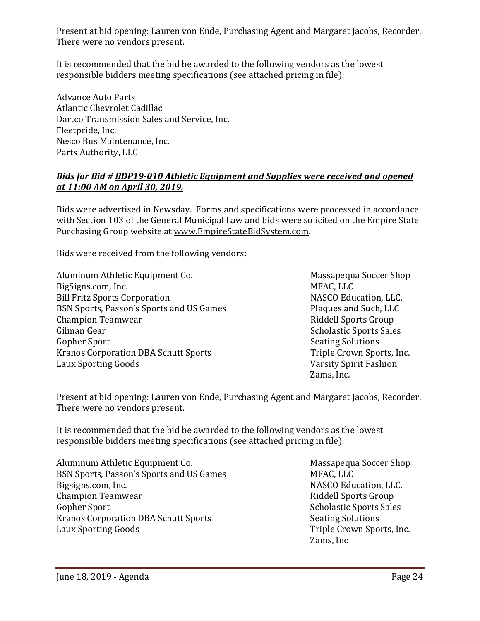Present at bid opening: Lauren von Ende, Purchasing Agent and Margaret Jacobs, Recorder. There were no vendors present.

It is recommended that the bid be awarded to the following vendors as the lowest responsible bidders meeting specifications (see attached pricing in file):

Advance Auto Parts Atlantic Chevrolet Cadillac Dartco Transmission Sales and Service, Inc. Fleetpride, Inc. Nesco Bus Maintenance, Inc. Parts Authority, LLC

#### *Bids for Bid # BDP19-010 Athletic Equipment and Supplies were received and opened at 11:00 AM on April 30, 2019.*

Bids were advertised in Newsday. Forms and specifications were processed in accordance with Section 103 of the General Municipal Law and bids were solicited on the Empire State Purchasing Group website at [www.EmpireStateBidSystem.com.](http://www.empirestatebidsystem.com/)

Bids were received from the following vendors:

Aluminum Athletic Equipment Co. Massapequa Soccer Shop BigSigns.com, Inc.<br>Bill Fritz Sports Corporation and the state of the MASCO Education, LLC. Bill Fritz Sports Corporation<br>BSN Sports, Passon's Sports and US Games<br>Plaques and Such, LLC BSN Sports, Passon's Sports and US Games<br>Champion Teamwear Champion Teamwear and School Sports Group<br>Gilman Gear and School School School School School School School School School School School School School School School School School School School School School School School Sch Gilman Gear Scholastic Sports Sales<br>Gopher Sport<br>Seating Solutions Kranos Corporation DBA Schutt Sports<br>Laux Sporting Goods

Seating Solutions<br>Triple Crown Sports, Inc. Varsity Spirit Fashion Zams, Inc.

Present at bid opening: Lauren von Ende, Purchasing Agent and Margaret Jacobs, Recorder. There were no vendors present.

It is recommended that the bid be awarded to the following vendors as the lowest responsible bidders meeting specifications (see attached pricing in file):

Aluminum Athletic Equipment Co.<br>BSN Sports, Passon's Sports and US Games MFAC, LLC MFAC, LLC BSN Sports, Passon's Sports and US Games<br>Bigsigns.com, Inc. Champion Teamwear<br>Gopher Sport Kranos Corporation DBA Schutt Sports<br>Laux Sporting Goods

NASCO Education, LLC.<br>Riddell Sports Group Scholastic Sports Sales<br>Seating Solutions Triple Crown Sports, Inc. Zams, Inc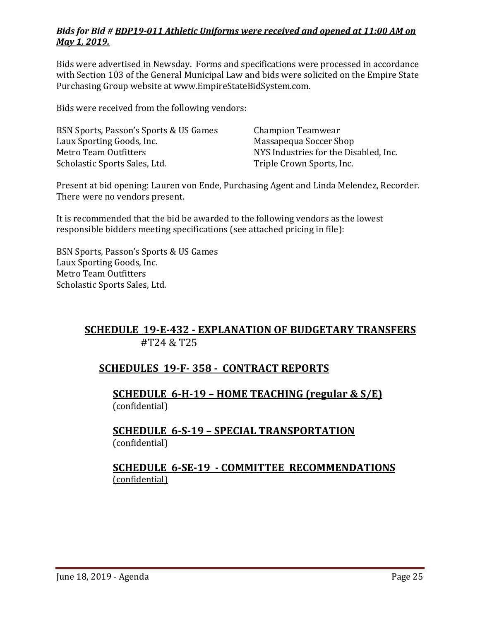#### *Bids for Bid # BDP19-011 Athletic Uniforms were received and opened at 11:00 AM on May 1, 2019.*

Bids were advertised in Newsday. Forms and specifications were processed in accordance with Section 103 of the General Municipal Law and bids were solicited on the Empire State Purchasing Group website at [www.EmpireStateBidSystem.com.](http://www.empirestatebidsystem.com/)

Bids were received from the following vendors:

| BSN Sports, Passon's Sports & US Games | Champion Teamwear                     |
|----------------------------------------|---------------------------------------|
| Laux Sporting Goods, Inc.              | Massapequa Soccer Shop                |
| Metro Team Outfitters                  | NYS Industries for the Disabled, Inc. |
| Scholastic Sports Sales, Ltd.          | Triple Crown Sports, Inc.             |

Present at bid opening: Lauren von Ende, Purchasing Agent and Linda Melendez, Recorder. There were no vendors present.

It is recommended that the bid be awarded to the following vendors as the lowest responsible bidders meeting specifications (see attached pricing in file):

BSN Sports, Passon's Sports & US Games Laux Sporting Goods, Inc. Metro Team Outfitters Scholastic Sports Sales, Ltd.

## **SCHEDULE 19-E-432 - EXPLANATION OF BUDGETARY TRANSFERS** #T24 & T25

## **SCHEDULES 19-F- 358 - CONTRACT REPORTS**

**SCHEDULE 6-H-19 – HOME TEACHING (regular & S/E)**  (confidential)

#### **SCHEDULE 6-S-19 – SPECIAL TRANSPORTATION**  (confidential)

## **SCHEDULE 6-SE-19 - COMMITTEE RECOMMENDATIONS** (confidential)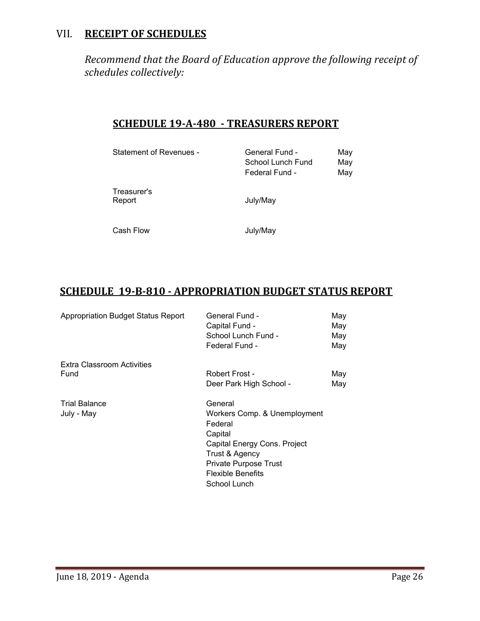## VII. **RECEIPT OF SCHEDULES**

*Recommend that the Board of Education approve the following receipt of schedules collectively:*

## **SCHEDULE 19-A-480 - TREASURERS REPORT**

| Statement of Revenues - | General Fund -<br>School Lunch Fund<br>Federal Fund - | May<br>May<br>May |
|-------------------------|-------------------------------------------------------|-------------------|
| Treasurer's<br>Report   | July/May                                              |                   |
| Cash Flow               | July/May                                              |                   |

## **SCHEDULE 19-B-810 - APPROPRIATION BUDGET STATUS REPORT**

| <b>Appropriation Budget Status Report</b> | General Fund -               | May |  |
|-------------------------------------------|------------------------------|-----|--|
|                                           | Capital Fund -               | May |  |
|                                           | School Lunch Fund -          | May |  |
|                                           | Federal Fund -               | May |  |
| Extra Classroom Activities                |                              |     |  |
| Fund                                      | Robert Frost -               | May |  |
|                                           | Deer Park High School -      | May |  |
| <b>Trial Balance</b>                      | General                      |     |  |
| July - May                                | Workers Comp. & Unemployment |     |  |
|                                           | Federal                      |     |  |
|                                           | Capital                      |     |  |
|                                           | Capital Energy Cons. Project |     |  |
|                                           | Trust & Agency               |     |  |
|                                           | Private Purpose Trust        |     |  |
|                                           | Flexible Benefits            |     |  |
|                                           | School Lunch                 |     |  |